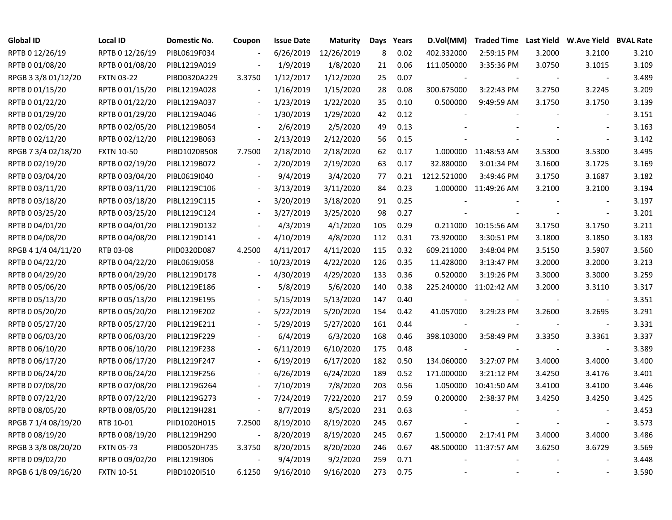| <b>Global ID</b>    | <b>Local ID</b>   | Domestic No. | Coupon                   | <b>Issue Date</b> | <b>Maturity</b> | Days | Years | D.Vol(MM)                |                       |        | Traded Time Last Yield W.Ave Yield BVAL Rate |       |
|---------------------|-------------------|--------------|--------------------------|-------------------|-----------------|------|-------|--------------------------|-----------------------|--------|----------------------------------------------|-------|
| RPTB 0 12/26/19     | RPTB 0 12/26/19   | PIBL0619F034 |                          | 6/26/2019         | 12/26/2019      | 8    | 0.02  | 402.332000               | 2:59:15 PM            | 3.2000 | 3.2100                                       | 3.210 |
| RPTB 0 01/08/20     | RPTB 0 01/08/20   | PIBL1219A019 |                          | 1/9/2019          | 1/8/2020        | 21   | 0.06  | 111.050000               | 3:35:36 PM            | 3.0750 | 3.1015                                       | 3.109 |
| RPGB 3 3/8 01/12/20 | <b>FXTN 03-22</b> | PIBD0320A229 | 3.3750                   | 1/12/2017         | 1/12/2020       | 25   | 0.07  |                          |                       |        | $\overline{\phantom{a}}$                     | 3.489 |
| RPTB 0 01/15/20     | RPTB 0 01/15/20   | PIBL1219A028 | $\overline{\phantom{a}}$ | 1/16/2019         | 1/15/2020       | 28   | 0.08  | 300.675000               | 3:22:43 PM            | 3.2750 | 3.2245                                       | 3.209 |
| RPTB 0 01/22/20     | RPTB 0 01/22/20   | PIBL1219A037 | $\overline{\phantom{a}}$ | 1/23/2019         | 1/22/2020       | 35   | 0.10  | 0.500000                 | 9:49:59 AM            | 3.1750 | 3.1750                                       | 3.139 |
| RPTB 0 01/29/20     | RPTB 0 01/29/20   | PIBL1219A046 | $\Box$                   | 1/30/2019         | 1/29/2020       | 42   | 0.12  |                          |                       |        |                                              | 3.151 |
| RPTB 0 02/05/20     | RPTB 0 02/05/20   | PIBL1219B054 |                          | 2/6/2019          | 2/5/2020        | 49   | 0.13  |                          |                       |        |                                              | 3.163 |
| RPTB 0 02/12/20     | RPTB 0 02/12/20   | PIBL1219B063 | $\overline{\phantom{a}}$ | 2/13/2019         | 2/12/2020       | 56   | 0.15  |                          |                       |        |                                              | 3.142 |
| RPGB 7 3/4 02/18/20 | <b>FXTN 10-50</b> | PIBD1020B508 | 7.7500                   | 2/18/2010         | 2/18/2020       | 62   | 0.17  |                          | 1.000000 11:48:53 AM  | 3.5300 | 3.5300                                       | 3.495 |
| RPTB 0 02/19/20     | RPTB 0 02/19/20   | PIBL1219B072 | $\overline{\phantom{a}}$ | 2/20/2019         | 2/19/2020       | 63   | 0.17  | 32.880000                | 3:01:34 PM            | 3.1600 | 3.1725                                       | 3.169 |
| RPTB 0 03/04/20     | RPTB 0 03/04/20   | PIBL0619I040 |                          | 9/4/2019          | 3/4/2020        | 77   | 0.21  | 1212.521000              | 3:49:46 PM            | 3.1750 | 3.1687                                       | 3.182 |
| RPTB 0 03/11/20     | RPTB 0 03/11/20   | PIBL1219C106 | $\overline{\phantom{a}}$ | 3/13/2019         | 3/11/2020       | 84   | 0.23  |                          | 1.000000 11:49:26 AM  | 3.2100 | 3.2100                                       | 3.194 |
| RPTB 0 03/18/20     | RPTB 0 03/18/20   | PIBL1219C115 |                          | 3/20/2019         | 3/18/2020       | 91   | 0.25  |                          |                       |        |                                              | 3.197 |
| RPTB 0 03/25/20     | RPTB 0 03/25/20   | PIBL1219C124 |                          | 3/27/2019         | 3/25/2020       | 98   | 0.27  |                          |                       |        | $\sim$                                       | 3.201 |
| RPTB 0 04/01/20     | RPTB 0 04/01/20   | PIBL1219D132 |                          | 4/3/2019          | 4/1/2020        | 105  | 0.29  |                          | 0.211000 10:15:56 AM  | 3.1750 | 3.1750                                       | 3.211 |
| RPTB 0 04/08/20     | RPTB 0 04/08/20   | PIBL1219D141 | $\overline{\phantom{a}}$ | 4/10/2019         | 4/8/2020        | 112  | 0.31  | 73.920000                | 3:30:51 PM            | 3.1800 | 3.1850                                       | 3.183 |
| RPGB 4 1/4 04/11/20 | RTB 03-08         | PIID0320D087 | 4.2500                   | 4/11/2017         | 4/11/2020       | 115  | 0.32  | 609.211000               | 3:48:04 PM            | 3.5150 | 3.5907                                       | 3.560 |
| RPTB 0 04/22/20     | RPTB 0 04/22/20   | PIBL0619J058 | $\overline{\phantom{a}}$ | 10/23/2019        | 4/22/2020       | 126  | 0.35  | 11.428000                | 3:13:47 PM            | 3.2000 | 3.2000                                       | 3.213 |
| RPTB 0 04/29/20     | RPTB 0 04/29/20   | PIBL1219D178 |                          | 4/30/2019         | 4/29/2020       | 133  | 0.36  | 0.520000                 | 3:19:26 PM            | 3.3000 | 3.3000                                       | 3.259 |
| RPTB 0 05/06/20     | RPTB 0 05/06/20   | PIBL1219E186 |                          | 5/8/2019          | 5/6/2020        | 140  | 0.38  | 225.240000               | 11:02:42 AM           | 3.2000 | 3.3110                                       | 3.317 |
| RPTB 0 05/13/20     | RPTB 0 05/13/20   | PIBL1219E195 |                          | 5/15/2019         | 5/13/2020       | 147  | 0.40  |                          |                       |        | $\sim$                                       | 3.351 |
| RPTB 0 05/20/20     | RPTB 0 05/20/20   | PIBL1219E202 |                          | 5/22/2019         | 5/20/2020       | 154  | 0.42  | 41.057000                | 3:29:23 PM            | 3.2600 | 3.2695                                       | 3.291 |
| RPTB 0 05/27/20     | RPTB 0 05/27/20   | PIBL1219E211 |                          | 5/29/2019         | 5/27/2020       | 161  | 0.44  |                          |                       |        | $\overline{\phantom{a}}$                     | 3.331 |
| RPTB 0 06/03/20     | RPTB 0 06/03/20   | PIBL1219F229 |                          | 6/4/2019          | 6/3/2020        | 168  | 0.46  | 398.103000               | 3:58:49 PM            | 3.3350 | 3.3361                                       | 3.337 |
| RPTB 0 06/10/20     | RPTB 0 06/10/20   | PIBL1219F238 |                          | 6/11/2019         | 6/10/2020       | 175  | 0.48  | $\overline{\phantom{a}}$ |                       |        | $\overline{\phantom{a}}$                     | 3.389 |
| RPTB 0 06/17/20     | RPTB 0 06/17/20   | PIBL1219F247 |                          | 6/19/2019         | 6/17/2020       | 182  | 0.50  | 134.060000               | 3:27:07 PM            | 3.4000 | 3.4000                                       | 3.400 |
| RPTB 0 06/24/20     | RPTB 0 06/24/20   | PIBL1219F256 |                          | 6/26/2019         | 6/24/2020       | 189  | 0.52  | 171.000000               | 3:21:12 PM            | 3.4250 | 3.4176                                       | 3.401 |
| RPTB 0 07/08/20     | RPTB 0 07/08/20   | PIBL1219G264 |                          | 7/10/2019         | 7/8/2020        | 203  | 0.56  | 1.050000                 | 10:41:50 AM           | 3.4100 | 3.4100                                       | 3.446 |
| RPTB 0 07/22/20     | RPTB 0 07/22/20   | PIBL1219G273 |                          | 7/24/2019         | 7/22/2020       | 217  | 0.59  | 0.200000                 | 2:38:37 PM            | 3.4250 | 3.4250                                       | 3.425 |
| RPTB 0 08/05/20     | RPTB 0 08/05/20   | PIBL1219H281 | $\overline{\phantom{a}}$ | 8/7/2019          | 8/5/2020        | 231  | 0.63  |                          |                       |        |                                              | 3.453 |
| RPGB 7 1/4 08/19/20 | RTB 10-01         | PIID1020H015 | 7.2500                   | 8/19/2010         | 8/19/2020       | 245  | 0.67  |                          |                       |        | $\overline{\phantom{a}}$                     | 3.573 |
| RPTB 0 08/19/20     | RPTB 0 08/19/20   | PIBL1219H290 | $\overline{\phantom{a}}$ | 8/20/2019         | 8/19/2020       | 245  | 0.67  | 1.500000                 | 2:17:41 PM            | 3.4000 | 3.4000                                       | 3.486 |
| RPGB 3 3/8 08/20/20 | <b>FXTN 05-73</b> | PIBD0520H735 | 3.3750                   | 8/20/2015         | 8/20/2020       | 246  | 0.67  |                          | 48.500000 11:37:57 AM | 3.6250 | 3.6729                                       | 3.569 |
| RPTB 0 09/02/20     | RPTB 0 09/02/20   | PIBL1219I306 |                          | 9/4/2019          | 9/2/2020        | 259  | 0.71  |                          |                       |        |                                              | 3.448 |
| RPGB 6 1/8 09/16/20 | <b>FXTN 10-51</b> | PIBD1020I510 | 6.1250                   | 9/16/2010         | 9/16/2020       | 273  | 0.75  |                          |                       |        |                                              | 3.590 |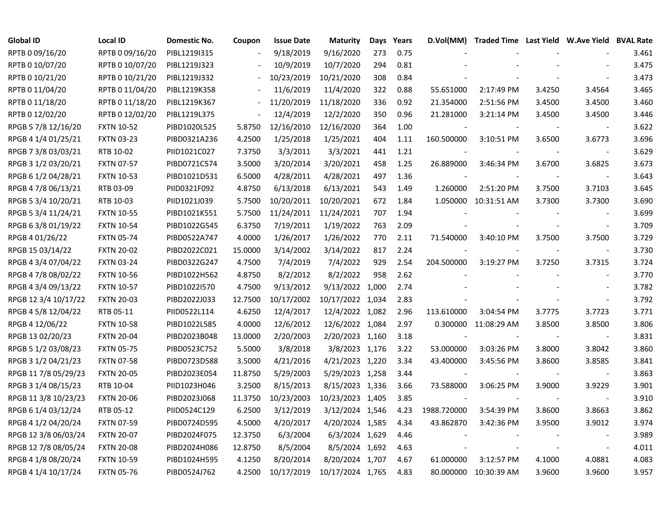| <b>Global ID</b>     | <b>Local ID</b>   | Domestic No. | Coupon  | <b>Issue Date</b> | <b>Maturity</b>  | Days | Years |                          | D.Vol(MM) Traded Time Last Yield W.Ave Yield BVAL Rate |        |                          |       |
|----------------------|-------------------|--------------|---------|-------------------|------------------|------|-------|--------------------------|--------------------------------------------------------|--------|--------------------------|-------|
| RPTB 0 09/16/20      | RPTB 0 09/16/20   | PIBL1219I315 |         | 9/18/2019         | 9/16/2020        | 273  | 0.75  |                          |                                                        |        |                          | 3.461 |
| RPTB 0 10/07/20      | RPTB 0 10/07/20   | PIBL1219J323 |         | 10/9/2019         | 10/7/2020        | 294  | 0.81  |                          |                                                        |        |                          | 3.475 |
| RPTB 0 10/21/20      | RPTB 0 10/21/20   | PIBL1219J332 |         | 10/23/2019        | 10/21/2020       | 308  | 0.84  |                          |                                                        |        |                          | 3.473 |
| RPTB 0 11/04/20      | RPTB 0 11/04/20   | PIBL1219K358 |         | 11/6/2019         | 11/4/2020        | 322  | 0.88  | 55.651000                | 2:17:49 PM                                             | 3.4250 | 3.4564                   | 3.465 |
| RPTB 0 11/18/20      | RPTB 0 11/18/20   | PIBL1219K367 |         | 11/20/2019        | 11/18/2020       | 336  | 0.92  | 21.354000                | 2:51:56 PM                                             | 3.4500 | 3.4500                   | 3.460 |
| RPTB 0 12/02/20      | RPTB 0 12/02/20   | PIBL1219L375 |         | 12/4/2019         | 12/2/2020        | 350  | 0.96  | 21.281000                | 3:21:14 PM                                             | 3.4500 | 3.4500                   | 3.446 |
| RPGB 5 7/8 12/16/20  | <b>FXTN 10-52</b> | PIBD1020L525 | 5.8750  | 12/16/2010        | 12/16/2020       | 364  | 1.00  |                          |                                                        |        |                          | 3.622 |
| RPGB 4 1/4 01/25/21  | <b>FXTN 03-23</b> | PIBD0321A236 | 4.2500  | 1/25/2018         | 1/25/2021        | 404  | 1.11  | 160.500000               | 3:10:51 PM                                             | 3.6500 | 3.6773                   | 3.696 |
| RPGB 7 3/8 03/03/21  | RTB 10-02         | PIID1021C027 | 7.3750  | 3/3/2011          | 3/3/2021         | 441  | 1.21  |                          |                                                        |        |                          | 3.629 |
| RPGB 3 1/2 03/20/21  | <b>FXTN 07-57</b> | PIBD0721C574 | 3.5000  | 3/20/2014         | 3/20/2021        | 458  | 1.25  | 26.889000                | 3:46:34 PM                                             | 3.6700 | 3.6825                   | 3.673 |
| RPGB 6 1/2 04/28/21  | <b>FXTN 10-53</b> | PIBD1021D531 | 6.5000  | 4/28/2011         | 4/28/2021        | 497  | 1.36  | $\overline{\phantom{a}}$ |                                                        |        | $\overline{\phantom{a}}$ | 3.643 |
| RPGB 4 7/8 06/13/21  | RTB 03-09         | PIID0321F092 | 4.8750  | 6/13/2018         | 6/13/2021        | 543  | 1.49  | 1.260000                 | 2:51:20 PM                                             | 3.7500 | 3.7103                   | 3.645 |
| RPGB 5 3/4 10/20/21  | RTB 10-03         | PIID1021J039 | 5.7500  | 10/20/2011        | 10/20/2021       | 672  | 1.84  |                          | 1.050000 10:31:51 AM                                   | 3.7300 | 3.7300                   | 3.690 |
| RPGB 5 3/4 11/24/21  | <b>FXTN 10-55</b> | PIBD1021K551 | 5.7500  | 11/24/2011        | 11/24/2021       | 707  | 1.94  |                          |                                                        |        |                          | 3.699 |
| RPGB 6 3/8 01/19/22  | <b>FXTN 10-54</b> | PIBD1022G545 | 6.3750  | 7/19/2011         | 1/19/2022        | 763  | 2.09  |                          |                                                        |        |                          | 3.709 |
| RPGB 4 01/26/22      | <b>FXTN 05-74</b> | PIBD0522A747 | 4.0000  | 1/26/2017         | 1/26/2022        | 770  | 2.11  | 71.540000                | 3:40:10 PM                                             | 3.7500 | 3.7500                   | 3.729 |
| RPGB 15 03/14/22     | <b>FXTN 20-02</b> | PIBD2022C021 | 15.0000 | 3/14/2002         | 3/14/2022        | 817  | 2.24  |                          |                                                        |        | $\overline{\phantom{a}}$ | 3.730 |
| RPGB 4 3/4 07/04/22  | <b>FXTN 03-24</b> | PIBD0322G247 | 4.7500  | 7/4/2019          | 7/4/2022         | 929  | 2.54  | 204.500000               | 3:19:27 PM                                             | 3.7250 | 3.7315                   | 3.724 |
| RPGB 4 7/8 08/02/22  | <b>FXTN 10-56</b> | PIBD1022H562 | 4.8750  | 8/2/2012          | 8/2/2022         | 958  | 2.62  |                          |                                                        |        | $\overline{\phantom{a}}$ | 3.770 |
| RPGB 4 3/4 09/13/22  | <b>FXTN 10-57</b> | PIBD1022I570 | 4.7500  | 9/13/2012         | 9/13/2022 1,000  |      | 2.74  |                          |                                                        |        |                          | 3.782 |
| RPGB 12 3/4 10/17/22 | <b>FXTN 20-03</b> | PIBD2022J033 | 12.7500 | 10/17/2002        | 10/17/2022 1,034 |      | 2.83  |                          |                                                        |        | $\overline{\phantom{a}}$ | 3.792 |
| RPGB 4 5/8 12/04/22  | RTB 05-11         | PIID0522L114 | 4.6250  | 12/4/2017         | 12/4/2022 1,082  |      | 2.96  | 113.610000               | 3:04:54 PM                                             | 3.7775 | 3.7723                   | 3.771 |
| RPGB 4 12/06/22      | <b>FXTN 10-58</b> | PIBD1022L585 | 4.0000  | 12/6/2012         | 12/6/2022 1,084  |      | 2.97  |                          | 0.300000 11:08:29 AM                                   | 3.8500 | 3.8500                   | 3.806 |
| RPGB 13 02/20/23     | <b>FXTN 20-04</b> | PIBD2023B048 | 13.0000 | 2/20/2003         | 2/20/2023 1,160  |      | 3.18  | $\overline{\phantom{a}}$ |                                                        |        | $\overline{\phantom{a}}$ | 3.831 |
| RPGB 5 1/2 03/08/23  | <b>FXTN 05-75</b> | PIBD0523C752 | 5.5000  | 3/8/2018          | 3/8/2023 1,176   |      | 3.22  | 53.000000                | 3:03:26 PM                                             | 3.8000 | 3.8042                   | 3.860 |
| RPGB 3 1/2 04/21/23  | <b>FXTN 07-58</b> | PIBD0723D588 | 3.5000  | 4/21/2016         | 4/21/2023 1,220  |      | 3.34  | 43.400000                | 3:45:56 PM                                             | 3.8600 | 3.8585                   | 3.841 |
| RPGB 11 7/8 05/29/23 | <b>FXTN 20-05</b> | PIBD2023E054 | 11.8750 | 5/29/2003         | 5/29/2023 1,258  |      | 3.44  |                          |                                                        |        | $\overline{\phantom{a}}$ | 3.863 |
| RPGB 3 1/4 08/15/23  | RTB 10-04         | PIID1023H046 | 3.2500  | 8/15/2013         | 8/15/2023 1,336  |      | 3.66  | 73.588000                | 3:06:25 PM                                             | 3.9000 | 3.9229                   | 3.901 |
| RPGB 11 3/8 10/23/23 | <b>FXTN 20-06</b> | PIBD2023J068 | 11.3750 | 10/23/2003        | 10/23/2023 1,405 |      | 3.85  |                          |                                                        |        |                          | 3.910 |
| RPGB 6 1/4 03/12/24  | RTB 05-12         | PIID0524C129 | 6.2500  | 3/12/2019         | 3/12/2024 1,546  |      | 4.23  | 1988.720000              | 3:54:39 PM                                             | 3.8600 | 3.8663                   | 3.862 |
| RPGB 4 1/2 04/20/24  | <b>FXTN 07-59</b> | PIBD0724D595 | 4.5000  | 4/20/2017         | 4/20/2024 1,585  |      | 4.34  | 43.862870                | 3:42:36 PM                                             | 3.9500 | 3.9012                   | 3.974 |
| RPGB 12 3/8 06/03/24 | <b>FXTN 20-07</b> | PIBD2024F075 | 12.3750 | 6/3/2004          | 6/3/2024 1,629   |      | 4.46  |                          |                                                        |        | $\overline{\phantom{a}}$ | 3.989 |
| RPGB 12 7/8 08/05/24 | <b>FXTN 20-08</b> | PIBD2024H086 | 12.8750 | 8/5/2004          | 8/5/2024 1,692   |      | 4.63  |                          |                                                        |        | $\overline{\phantom{a}}$ | 4.011 |
| RPGB 4 1/8 08/20/24  | <b>FXTN 10-59</b> | PIBD1024H595 | 4.1250  | 8/20/2014         | 8/20/2024 1,707  |      | 4.67  | 61.000000                | 3:12:57 PM                                             | 4.1000 | 4.0881                   | 4.083 |
| RPGB 4 1/4 10/17/24  | <b>FXTN 05-76</b> | PIBD0524J762 | 4.2500  | 10/17/2019        | 10/17/2024 1,765 |      | 4.83  | 80.000000                | 10:30:39 AM                                            | 3.9600 | 3.9600                   | 3.957 |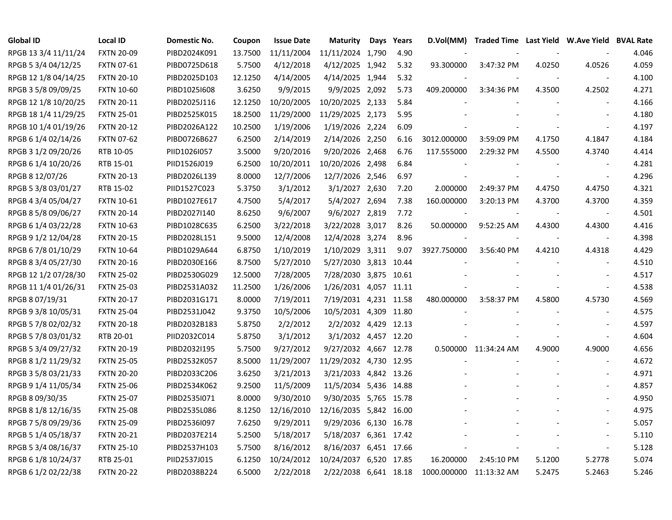| <b>Global ID</b>     | <b>Local ID</b>   | Domestic No. | Coupon  | <b>Issue Date</b> | <b>Maturity</b>        | Days | Years | D.Vol(MM)   | Traded Time Last Yield W.Ave Yield BVAL Rate |                          |                          |       |
|----------------------|-------------------|--------------|---------|-------------------|------------------------|------|-------|-------------|----------------------------------------------|--------------------------|--------------------------|-------|
| RPGB 13 3/4 11/11/24 | <b>FXTN 20-09</b> | PIBD2024K091 | 13.7500 | 11/11/2004        | 11/11/2024 1,790       |      | 4.90  |             |                                              |                          |                          | 4.046 |
| RPGB 5 3/4 04/12/25  | <b>FXTN 07-61</b> | PIBD0725D618 | 5.7500  | 4/12/2018         | 4/12/2025 1,942        |      | 5.32  | 93.300000   | 3:47:32 PM                                   | 4.0250                   | 4.0526                   | 4.059 |
| RPGB 12 1/8 04/14/25 | <b>FXTN 20-10</b> | PIBD2025D103 | 12.1250 | 4/14/2005         | 4/14/2025 1,944        |      | 5.32  |             |                                              |                          |                          | 4.100 |
| RPGB 3 5/8 09/09/25  | <b>FXTN 10-60</b> | PIBD1025I608 | 3.6250  | 9/9/2015          | 9/9/2025 2,092         |      | 5.73  | 409.200000  | 3:34:36 PM                                   | 4.3500                   | 4.2502                   | 4.271 |
| RPGB 12 1/8 10/20/25 | <b>FXTN 20-11</b> | PIBD2025J116 | 12.1250 | 10/20/2005        | 10/20/2025 2,133       |      | 5.84  |             |                                              |                          |                          | 4.166 |
| RPGB 18 1/4 11/29/25 | <b>FXTN 25-01</b> | PIBD2525K015 | 18.2500 | 11/29/2000        | 11/29/2025 2,173       |      | 5.95  |             |                                              |                          | $\overline{\phantom{a}}$ | 4.180 |
| RPGB 10 1/4 01/19/26 | <b>FXTN 20-12</b> | PIBD2026A122 | 10.2500 | 1/19/2006         | 1/19/2026 2,224        |      | 6.09  |             |                                              |                          |                          | 4.197 |
| RPGB 6 1/4 02/14/26  | <b>FXTN 07-62</b> | PIBD0726B627 | 6.2500  | 2/14/2019         | 2/14/2026 2,250        |      | 6.16  | 3012.000000 | 3:59:09 PM                                   | 4.1750                   | 4.1847                   | 4.184 |
| RPGB 3 1/2 09/20/26  | RTB 10-05         | PIID1026I057 | 3.5000  | 9/20/2016         | 9/20/2026 2,468        |      | 6.76  | 117.555000  | 2:29:32 PM                                   | 4.5500                   | 4.3740                   | 4.414 |
| RPGB 6 1/4 10/20/26  | RTB 15-01         | PIID1526J019 | 6.2500  | 10/20/2011        | 10/20/2026 2,498       |      | 6.84  |             |                                              |                          |                          | 4.281 |
| RPGB 8 12/07/26      | <b>FXTN 20-13</b> | PIBD2026L139 | 8.0000  | 12/7/2006         | 12/7/2026 2,546        |      | 6.97  |             |                                              | $\overline{\phantom{a}}$ | $\blacksquare$           | 4.296 |
| RPGB 5 3/8 03/01/27  | RTB 15-02         | PIID1527C023 | 5.3750  | 3/1/2012          | 3/1/2027 2,630         |      | 7.20  | 2.000000    | 2:49:37 PM                                   | 4.4750                   | 4.4750                   | 4.321 |
| RPGB 4 3/4 05/04/27  | <b>FXTN 10-61</b> | PIBD1027E617 | 4.7500  | 5/4/2017          | 5/4/2027 2,694         |      | 7.38  | 160.000000  | 3:20:13 PM                                   | 4.3700                   | 4.3700                   | 4.359 |
| RPGB 8 5/8 09/06/27  | <b>FXTN 20-14</b> | PIBD2027I140 | 8.6250  | 9/6/2007          | 9/6/2027 2,819         |      | 7.72  |             |                                              |                          | $\overline{\phantom{a}}$ | 4.501 |
| RPGB 6 1/4 03/22/28  | <b>FXTN 10-63</b> | PIBD1028C635 | 6.2500  | 3/22/2018         | 3/22/2028 3,017        |      | 8.26  | 50.000000   | 9:52:25 AM                                   | 4.4300                   | 4.4300                   | 4.416 |
| RPGB 9 1/2 12/04/28  | <b>FXTN 20-15</b> | PIBD2028L151 | 9.5000  | 12/4/2008         | 12/4/2028 3,274        |      | 8.96  |             |                                              |                          |                          | 4.398 |
| RPGB 6 7/8 01/10/29  | <b>FXTN 10-64</b> | PIBD1029A644 | 6.8750  | 1/10/2019         | 1/10/2029 3,311        |      | 9.07  | 3927.750000 | 3:56:40 PM                                   | 4.4210                   | 4.4318                   | 4.429 |
| RPGB 8 3/4 05/27/30  | <b>FXTN 20-16</b> | PIBD2030E166 | 8.7500  | 5/27/2010         | 5/27/2030 3,813 10.44  |      |       |             |                                              |                          | $\overline{\phantom{a}}$ | 4.510 |
| RPGB 12 1/2 07/28/30 | <b>FXTN 25-02</b> | PIBD2530G029 | 12.5000 | 7/28/2005         | 7/28/2030 3,875 10.61  |      |       |             |                                              |                          |                          | 4.517 |
| RPGB 11 1/4 01/26/31 | <b>FXTN 25-03</b> | PIBD2531A032 | 11.2500 | 1/26/2006         | 1/26/2031 4,057 11.11  |      |       |             |                                              |                          | $\overline{\phantom{a}}$ | 4.538 |
| RPGB 8 07/19/31      | <b>FXTN 20-17</b> | PIBD2031G171 | 8.0000  | 7/19/2011         | 7/19/2031 4,231 11.58  |      |       | 480.000000  | 3:58:37 PM                                   | 4.5800                   | 4.5730                   | 4.569 |
| RPGB 9 3/8 10/05/31  | <b>FXTN 25-04</b> | PIBD2531J042 | 9.3750  | 10/5/2006         | 10/5/2031 4,309 11.80  |      |       |             |                                              |                          | $\overline{\phantom{a}}$ | 4.575 |
| RPGB 5 7/8 02/02/32  | <b>FXTN 20-18</b> | PIBD2032B183 | 5.8750  | 2/2/2012          | 2/2/2032 4,429 12.13   |      |       |             |                                              |                          |                          | 4.597 |
| RPGB 5 7/8 03/01/32  | RTB 20-01         | PIID2032C014 | 5.8750  | 3/1/2012          | 3/1/2032 4,457 12.20   |      |       |             |                                              |                          | $\blacksquare$           | 4.604 |
| RPGB 5 3/4 09/27/32  | <b>FXTN 20-19</b> | PIBD2032I195 | 5.7500  | 9/27/2012         | 9/27/2032 4,667 12.78  |      |       |             | 0.500000 11:34:24 AM                         | 4.9000                   | 4.9000                   | 4.656 |
| RPGB 8 1/2 11/29/32  | <b>FXTN 25-05</b> | PIBD2532K057 | 8.5000  | 11/29/2007        | 11/29/2032 4,730 12.95 |      |       |             |                                              |                          |                          | 4.672 |
| RPGB 3 5/8 03/21/33  | <b>FXTN 20-20</b> | PIBD2033C206 | 3.6250  | 3/21/2013         | 3/21/2033 4,842 13.26  |      |       |             |                                              |                          |                          | 4.971 |
| RPGB 9 1/4 11/05/34  | <b>FXTN 25-06</b> | PIBD2534K062 | 9.2500  | 11/5/2009         | 11/5/2034 5,436 14.88  |      |       |             |                                              |                          |                          | 4.857 |
| RPGB 8 09/30/35      | <b>FXTN 25-07</b> | PIBD2535I071 | 8.0000  | 9/30/2010         | 9/30/2035 5,765 15.78  |      |       |             |                                              |                          |                          | 4.950 |
| RPGB 8 1/8 12/16/35  | <b>FXTN 25-08</b> | PIBD2535L086 | 8.1250  | 12/16/2010        | 12/16/2035 5,842 16.00 |      |       |             |                                              |                          |                          | 4.975 |
| RPGB 7 5/8 09/29/36  | <b>FXTN 25-09</b> | PIBD2536I097 | 7.6250  | 9/29/2011         | 9/29/2036 6,130 16.78  |      |       |             |                                              |                          |                          | 5.057 |
| RPGB 5 1/4 05/18/37  | <b>FXTN 20-21</b> | PIBD2037E214 | 5.2500  | 5/18/2017         | 5/18/2037 6,361 17.42  |      |       |             |                                              |                          | $\overline{a}$           | 5.110 |
| RPGB 5 3/4 08/16/37  | <b>FXTN 25-10</b> | PIBD2537H103 | 5.7500  | 8/16/2012         | 8/16/2037 6,451 17.66  |      |       |             |                                              |                          | $\overline{\phantom{a}}$ | 5.128 |
| RPGB 6 1/8 10/24/37  | RTB 25-01         | PIID2537J015 | 6.1250  | 10/24/2012        | 10/24/2037 6,520 17.85 |      |       | 16.200000   | 2:45:10 PM                                   | 5.1200                   | 5.2778                   | 5.074 |
| RPGB 6 1/2 02/22/38  | <b>FXTN 20-22</b> | PIBD2038B224 | 6.5000  | 2/22/2018         | 2/22/2038 6,641 18.18  |      |       | 1000.000000 | 11:13:32 AM                                  | 5.2475                   | 5.2463                   | 5.246 |